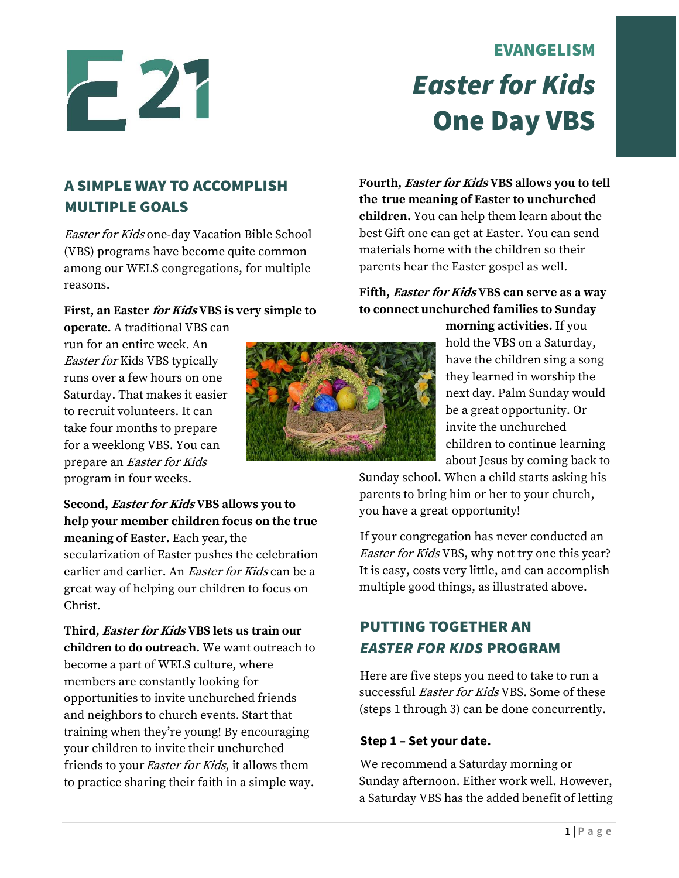# -21

# EVANGELISM *Easter for Kids* One Day VBS

### A SIMPLE WAY TO ACCOMPLISH MULTIPLE GOALS

Easter for Kids one-day Vacation Bible School (VBS) programs have become quite common among our WELS congregations, for multiple reasons.

#### **First, an Easter for Kids VBS is very simple to**

**operate.** A traditional VBS can run for an entire week. An Easter for Kids VBS typically runs over a few hours on one Saturday. That makes it easier to recruit volunteers. It can take four months to prepare for a weeklong VBS. You can prepare an Easter for Kids program in four weeks.

**Fourth, Easter for Kids VBS allows you to tell the true meaning of Easter to unchurched children.** You can help them learn about the best Gift one can get at Easter. You can send materials home with the children so their parents hear the Easter gospel as well.

#### **Fifth, Easter for Kids VBS can serve as a way to connect unchurched families to Sunday**

**morning activities.** If you hold the VBS on a Saturday, have the children sing a song they learned in worship the next day. Palm Sunday would be a great opportunity. Or invite the unchurched children to continue learning about Jesus by coming back to

Sunday school. When a child starts asking his parents to bring him or her to your church, you have a great opportunity!

If your congregation has never conducted an Easter for Kids VBS, why not try one this year? It is easy, costs very little, and can accomplish multiple good things, as illustrated above.

## PUTTING TOGETHER AN *EASTER FOR KIDS* PROGRAM

Here are five steps you need to take to run a successful Easter for Kids VBS. Some of these (steps 1 through 3) can be done concurrently.

#### **Step 1 – Set your date.**

We recommend a Saturday morning or Sunday afternoon. Either work well. However, a Saturday VBS has the added benefit of letting

**Second, Easter for Kids VBS allows you to help your member children focus on the true meaning of Easter.** Each year, the secularization of Easter pushes the celebration earlier and earlier. An *Easter for Kids* can be a great way of helping our children to focus on Christ.

**Third, Easter for Kids VBS lets us train our children to do outreach.** We want outreach to become a part of WELS culture, where members are constantly looking for opportunities to invite unchurched friends and neighbors to church events. Start that training when they're young! By encouraging your children to invite their unchurched friends to your *Easter for Kids*, it allows them to practice sharing their faith in a simple way.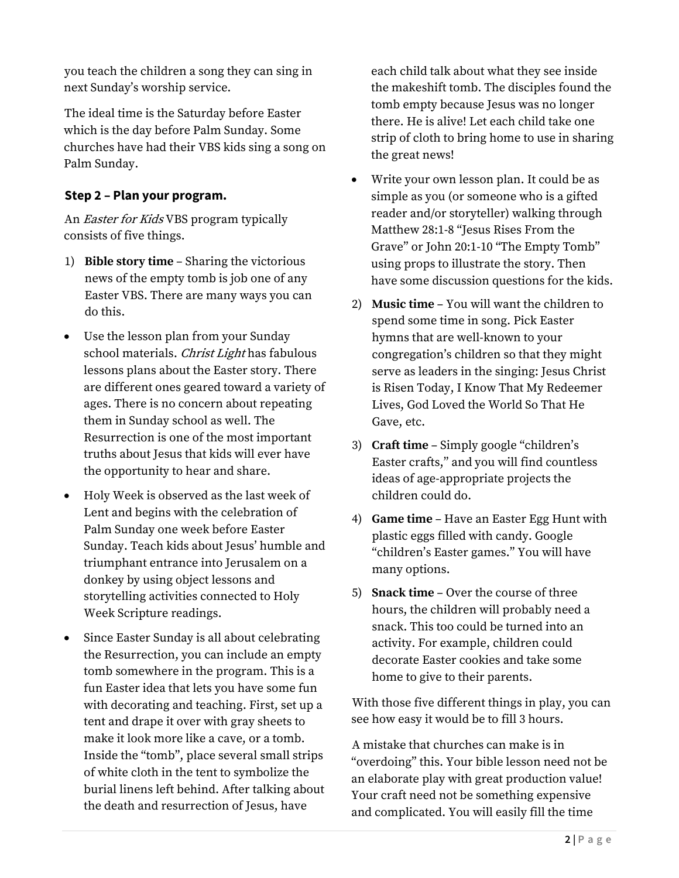you teach the children a song they can sing in next Sunday's worship service.

The ideal time is the Saturday before Easter which is the day before Palm Sunday. Some churches have had their VBS kids sing a song on Palm Sunday.

#### **Step 2 – Plan your program.**

An Easter for Kids VBS program typically consists of five things.

- 1) **Bible story time**  Sharing the victorious news of the empty tomb is job one of any Easter VBS. There are many ways you can do this.
- Use the lesson plan from your Sunday school materials. Christ Light has fabulous lessons plans about the Easter story. There are different ones geared toward a variety of ages. There is no concern about repeating them in Sunday school as well. The Resurrection is one of the most important truths about Jesus that kids will ever have the opportunity to hear and share.
- Holy Week is observed as the last week of Lent and begins with the celebration of Palm Sunday one week before Easter Sunday. Teach kids about Jesus' humble and triumphant entrance into Jerusalem on a donkey by using object lessons and storytelling activities connected to Holy Week Scripture readings.
- Since Easter Sunday is all about celebrating the Resurrection, you can include an empty tomb somewhere in the program. This is a fun Easter idea that lets you have some fun with decorating and teaching. First, set up a tent and drape it over with gray sheets to make it look more like a cave, or a tomb. Inside the "tomb", place several small strips of white cloth in the tent to symbolize the burial linens left behind. After talking about the death and resurrection of Jesus, have

each child talk about what they see inside the makeshift tomb. The disciples found the tomb empty because Jesus was no longer there. He is alive! Let each child take one strip of cloth to bring home to use in sharing the great news!

- Write your own lesson plan. It could be as simple as you (or someone who is a gifted reader and/or storyteller) walking through Matthew 28:1-8 "Jesus Rises From the Grave" or John 20:1-10 "The Empty Tomb" using props to illustrate the story. Then have some discussion questions for the kids.
- 2) **Music time**  You will want the children to spend some time in song. Pick Easter hymns that are well-known to your congregation's children so that they might serve as leaders in the singing: Jesus Christ is Risen Today, I Know That My Redeemer Lives, God Loved the World So That He Gave, etc.
- 3) **Craft time**  Simply google "children's Easter crafts," and you will find countless ideas of age-appropriate projects the children could do.
- 4) **Game time**  Have an Easter Egg Hunt with plastic eggs filled with candy. Google "children's Easter games." You will have many options.
- 5) **Snack time**  Over the course of three hours, the children will probably need a snack. This too could be turned into an activity. For example, children could decorate Easter cookies and take some home to give to their parents.

With those five different things in play, you can see how easy it would be to fill 3 hours.

A mistake that churches can make is in "overdoing" this. Your bible lesson need not be an elaborate play with great production value! Your craft need not be something expensive and complicated. You will easily fill the time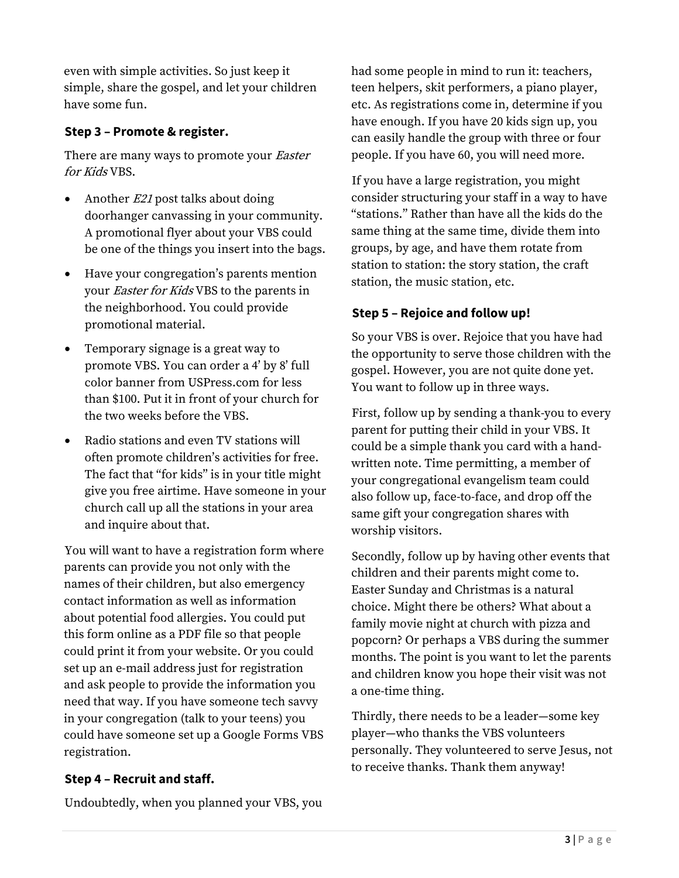even with simple activities. So just keep it simple, share the gospel, and let your children have some fun.

#### **Step 3 – Promote & register.**

There are many ways to promote your *Easter* for Kids VBS.

- Another *E21* post talks about doing doorhanger canvassing in your community. A promotional flyer about your VBS could be one of the things you insert into the bags.
- Have your congregation's parents mention your Easter for Kids VBS to the parents in the neighborhood. You could provide promotional material.
- Temporary signage is a great way to promote VBS. You can order a 4' by 8' full color banner from USPress.com for less than \$100. Put it in front of your church for the two weeks before the VBS.
- Radio stations and even TV stations will often promote children's activities for free. The fact that "for kids" is in your title might give you free airtime. Have someone in your church call up all the stations in your area and inquire about that.

You will want to have a registration form where parents can provide you not only with the names of their children, but also emergency contact information as well as information about potential food allergies. You could put this form online as a PDF file so that people could print it from your website. Or you could set up an e-mail address just for registration and ask people to provide the information you need that way. If you have someone tech savvy in your congregation (talk to your teens) you could have someone set up a Google Forms VBS registration.

#### **Step 4 – Recruit and staff.**

Undoubtedly, when you planned your VBS, you

had some people in mind to run it: teachers, teen helpers, skit performers, a piano player, etc. As registrations come in, determine if you have enough. If you have 20 kids sign up, you can easily handle the group with three or four people. If you have 60, you will need more.

If you have a large registration, you might consider structuring your staff in a way to have "stations." Rather than have all the kids do the same thing at the same time, divide them into groups, by age, and have them rotate from station to station: the story station, the craft station, the music station, etc.

#### **Step 5 – Rejoice and follow up!**

So your VBS is over. Rejoice that you have had the opportunity to serve those children with the gospel. However, you are not quite done yet. You want to follow up in three ways.

First, follow up by sending a thank-you to every parent for putting their child in your VBS. It could be a simple thank you card with a handwritten note. Time permitting, a member of your congregational evangelism team could also follow up, face-to-face, and drop off the same gift your congregation shares with worship visitors.

Secondly, follow up by having other events that children and their parents might come to. Easter Sunday and Christmas is a natural choice. Might there be others? What about a family movie night at church with pizza and popcorn? Or perhaps a VBS during the summer months. The point is you want to let the parents and children know you hope their visit was not a one-time thing.

Thirdly, there needs to be a leader—some key player—who thanks the VBS volunteers personally. They volunteered to serve Jesus, not to receive thanks. Thank them anyway!